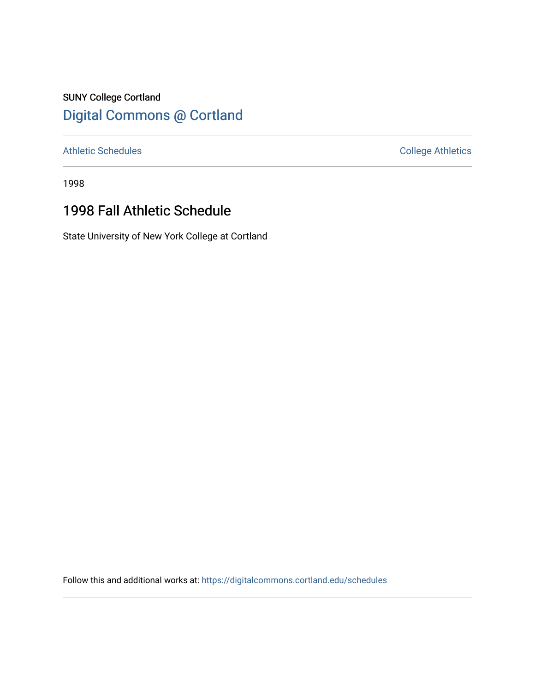## SUNY College Cortland [Digital Commons @ Cortland](https://digitalcommons.cortland.edu/)

[Athletic Schedules](https://digitalcommons.cortland.edu/schedules) **College Athletics** College Athletics

1998

## 1998 Fall Athletic Schedule

State University of New York College at Cortland

Follow this and additional works at: [https://digitalcommons.cortland.edu/schedules](https://digitalcommons.cortland.edu/schedules?utm_source=digitalcommons.cortland.edu%2Fschedules%2F71&utm_medium=PDF&utm_campaign=PDFCoverPages)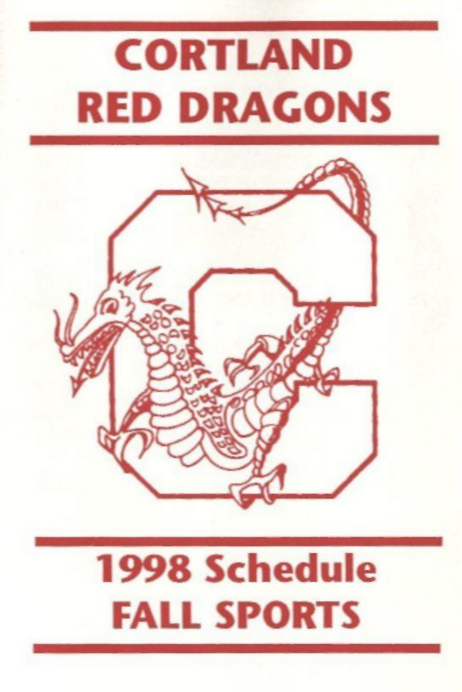# **CORTLAND RED DRAGONS**



## **1998 Schedule FALL SPORTS**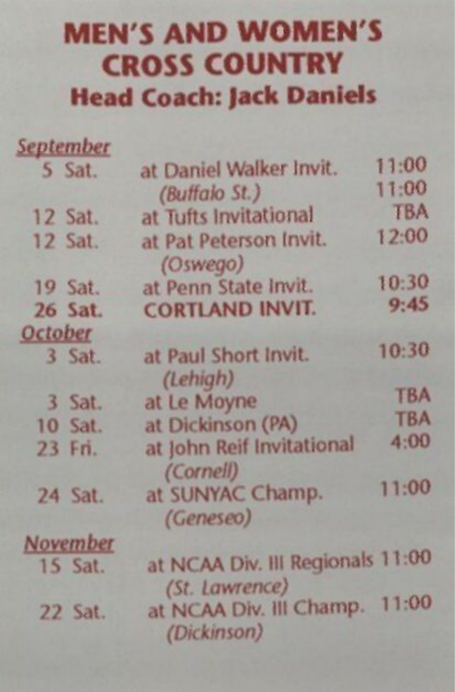#### MEN'S AND WOMEN'S CROSS COUNTRY Head Coach: Jack Daniels

| <b>September</b> |                                                    |            |
|------------------|----------------------------------------------------|------------|
| 5 Sat.           | at Daniel Walker Invit.                            | 11:00      |
|                  | (Buffalo St.)                                      | 11:00      |
| 12 Sat.          | at Tufts Invitational                              | <b>TBA</b> |
| $12$ Sat.        | at Pat Peterson Invit.<br>(Oswego)                 | 12:00      |
| 19 Sat.          | at Penn State Invit.                               | 10:30      |
| 26 Sat.          | <b>CORTLAND INVIT.</b>                             | 9:45       |
| <b>October</b>   |                                                    |            |
| 3 Sat.           | at Paul Short Invit.<br>(Lehigh)                   | 10:30      |
| 3 Sat.           | at Le Moyne                                        | <b>TBA</b> |
| <b>10 Sat.</b>   | at Dickinson (PA)                                  | <b>TBA</b> |
| 23 Fri.          | at John Reif Invitational<br>(Cornell)             | 4:00       |
| 24 Sat.          | at SUNYAC Champ.<br>(Geneseo)                      | 11:00      |
| November         |                                                    |            |
| 15 Sat.          | at NCAA Div. III Regionals 11:00<br>(St. Lawrence) |            |
| 22 Sat.          | at NCAA Div. III Champ. 11:00<br>(Dickinson)       |            |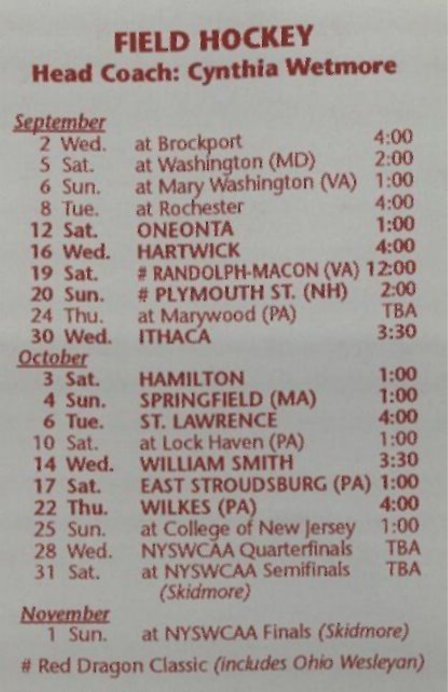#### FIELD HOCKEY **Head Coach: Cynthia Wetmore**

| <b>September</b> |                              |            |
|------------------|------------------------------|------------|
| 2 Wed.           | at Brockport                 | 4:00       |
| 5 Sat.           | at Washington (MD)           | 2:00       |
| 6 Sun.           | at Mary Washington (VA)      | 1:00       |
| 8 Tue.           | at Rochester                 | 4:00       |
| 12 Sat.          | <b>ONEONTA</b>               | 1:00       |
| 16 Wed.          | <b>HARTWICK</b>              | 4:00       |
| 19 Sat.          | # RANDOLPH-MACON (VA) 12:00  |            |
| 20 Sun.          | # PLYMOUTH ST. (NH)          | 2:00       |
| 24 Thu.          | at Marywood (PA)             | <b>TBA</b> |
| 30 Wed.          | <b>ITHACA</b>                | 3:30       |
| <b>October</b>   |                              |            |
| 3 Sat.           | <b>HAMILTON</b>              | 1:00       |
| 4 Sun.           | <b>SPRINGFIELD (MA)</b>      | 1:00       |
| 6 Tue.           | <b>ST. LAWRENCE</b>          | 4:00       |
| 10 Sat.          | at Lock Haven (PA)           | 1:00       |
| 14 Wed.          | <b>WILLIAM SMITH</b>         | 3:30       |
| $17$ Sat.        | <b>EAST STROUDSBURG (PA)</b> | 1:00       |
| 22 Thu.          | <b>WILKES (PA)</b>           | 4:00       |
| 25 Sun.          | at College of New Jersey     | 1:00       |
| 28 Wed.          | <b>NYSWCAA Quarterfinals</b> | <b>TBA</b> |
| $31$ Sat.        | at NYSWCAA Semifinals        | <b>TBA</b> |
|                  | (Skidmore)                   |            |
| <b>November</b>  |                              |            |
|                  |                              |            |

*November*  1 Sun. at NYSWCAA Finals *(Skidmore)* 

# Red Dragon Classic *(includes Ohio Wesleyan)*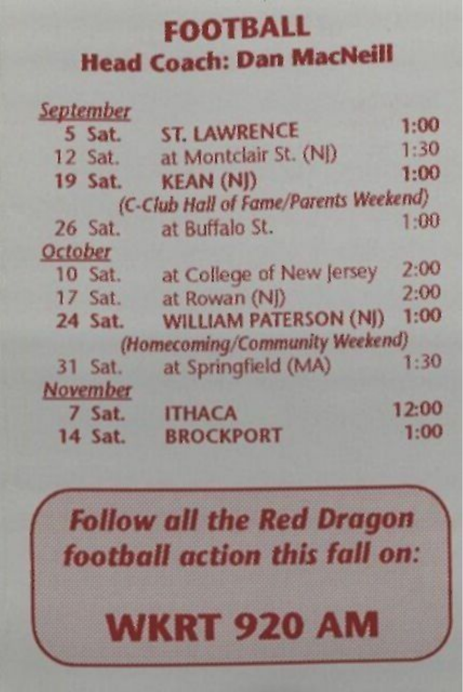#### FOOTBALL Head Coach: Dan MacNeill

|         | <b>September</b> |                                       |       |
|---------|------------------|---------------------------------------|-------|
|         | 5 Sat.           | <b>ST. LAWRENCE</b>                   | 1:00  |
|         | 12 Sat.          | at Montclair St. (NJ)                 | 1:30  |
|         | 19 Sat.          | <b>KEAN (NJ)</b>                      | 1:00  |
|         |                  | (C-Club Hall of Fame/Parents Weekend) |       |
|         | $26$ Sat.        | at Buffalo St.                        | 1:00  |
| October |                  |                                       |       |
|         | 10 Sat.          | at College of New Jersey              | 2:00  |
|         | 17 Sat.          | at Rowan (NI)                         | 2:00  |
|         | 24 Sat.          | WILLIAM PATERSON (NJ)                 | 1:00  |
|         |                  | (Homecoming/Community Weekend)        |       |
|         | 31 Sat.          | at Springfield (MA)                   | 1:30  |
|         | November         |                                       |       |
|         | 7 Sat.           | <b>ITHACA</b>                         | 12:00 |
|         | 14 Sat.          | <b>BROCKPORT</b>                      | 1:00  |

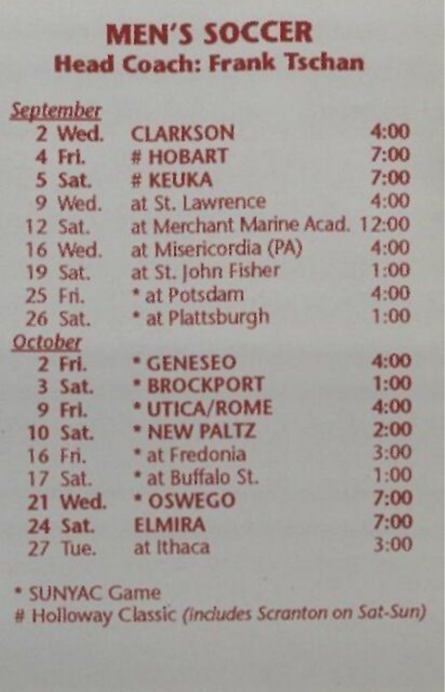#### **MEN'S SOCCER Head Coach: Frank Tschan**

| September |           |                                |      |
|-----------|-----------|--------------------------------|------|
|           | 2 Wed.    | <b>CLARKSON</b>                | 4:00 |
|           | 4 Fri.    | # HOBART                       | 7:00 |
|           | 5 Sat.    | # KEUKA                        | 7:00 |
|           | 9 Wed.    | at St. Lawrence                | 4:00 |
|           | 12 Sat.   | at Merchant Marine Acad. 12:00 |      |
|           | 16 Wed.   | at Misericordia (PA)           | 4:00 |
|           | 19 Sat.   | at St. John Fisher             | 1:00 |
|           | 25 Fri.   | * at Potsdam                   | 4:00 |
|           | $26$ Sat. | * at Plattsburgh               | 1:00 |
| October   |           |                                |      |
|           | 2 Fri.    | * GENESEO                      | 4:00 |
|           | 3 Sat.    | <b>* BROCKPORT</b>             | 1:00 |
|           | 9 Fri.    | * UTICA/ROME                   | 4:00 |
|           | $10$ Sat. | * NEW PALTZ                    | 2:00 |
|           | 16 Fn.    | * at Fredonia                  | 3:00 |
|           | $17$ Sat. | * at Buffalo St.               | 1:00 |
|           | 21 Wed.   | * OSWEGO                       | 7:00 |
|           | 24 Sat.   | <b>ELMIRA</b>                  | 7:00 |
|           | 27 Тие.   | at Ithaca                      | 3:00 |
|           |           |                                |      |

\* SUNYAC Game

# Holloway Classic *(includes Scranton on Sat-Sun)*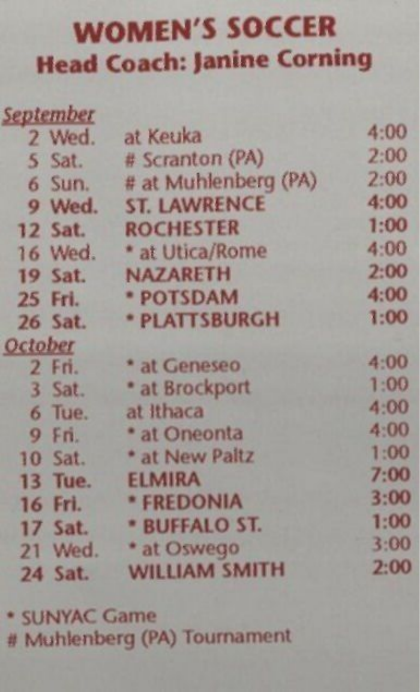#### WOMEN'S SOCCER Head Coach: Janine Corning

| <u>September</u> |                      |      |
|------------------|----------------------|------|
| 2 Wed.           | at Keuka             | 4:00 |
| 5 Sat.           | # Scranton (PA)      | 2:00 |
| 6 Sun.           | # at Muhlenberg (PA) | 2:00 |
| 9 Wed.           | <b>ST. LAWRENCE</b>  | 4:00 |
| <b>12 Sat.</b>   | <b>ROCHESTER</b>     | 1:00 |
| 16 Wed.          | * at Utica/Rome      | 4:00 |
| 19 Sat.          | <b>NAZARETH</b>      | 2:00 |
| 25 Fri.          | * POTSDAM            | 4:00 |
| 26 Sat.          | * PLATTSBURGH        | 1:00 |
| October          |                      |      |
| 2 Fri.           | * at Geneseo         | 4:00 |
| 3 Sat.           | * at Brockport       | 1:00 |
| 6 Tue.           | at Ithaca            | 4:00 |
| $9$ Fri.         | * at Oneonta         | 4:00 |
| 10 Sat.          | * at New Paltz       | 1:00 |
| <b>13 Tue.</b>   | <b>ELMIRA</b>        | 7:00 |
| 16 Fri.          | * FREDONIA           | 3:00 |
| 17 Sat.          | <b>* BUFFALO ST.</b> | 1:00 |
| 21 Wed.          | * at Oswego          | 3:00 |
| 24 Sat.          | <b>WILLIAM SMITH</b> | 2:00 |
|                  |                      |      |

\* SUNVAC Game # Muhlenberg (PA) Tournament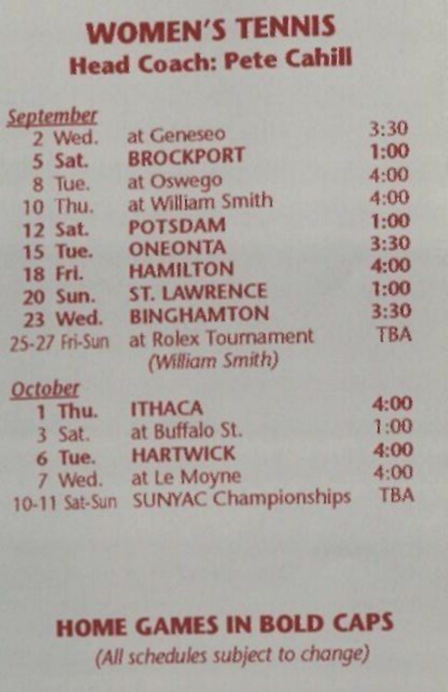#### WOMEN'S TENNIS Head Coach: Pete Cahill

| <b>September</b> |                                        |            |
|------------------|----------------------------------------|------------|
| 2 Wed.           | at Geneseo                             | 3:30       |
| 5 Sat.           | <b>BROCKPORT</b>                       | 1:00       |
| 8 Tue.           | at Oswego                              | 4:00       |
| 10 Thu.          | at William Smith                       | 4:00       |
| $12$ Sat.        | <b>POTSDAM</b>                         | 1:00       |
| <b>15 Tue.</b>   | <b>ONEONTA</b>                         | 3:30       |
| 18 Fri.          | <b>HAMILTON</b>                        | 4:00       |
| 20 Sun.          | <b>ST. LAWRENCE</b>                    | 1:00       |
| 23 Wed.          | <b>BINGHAMTON</b>                      | 3:30       |
| 25-27 Fri-Sun    | at Rolex Tournament<br>(William Smith) | <b>TBA</b> |
| <b>October</b>   |                                        |            |
| 1 Thu.           | <b>ITHACA</b>                          | 4:00       |
| $3$ Sat.         | at Buffalo St.                         | 1:00       |
| 6 Tue.           | <b>HARTWICK</b>                        | 4:00       |
| 7 Wed.           | at Le Moyne                            | 4:00       |
| 10-11 Sat-Sun    | <b>SUNYAC Championships</b>            | <b>TBA</b> |

#### HOME GAMES IN BOLD CAPS *(All schedules subject to change)*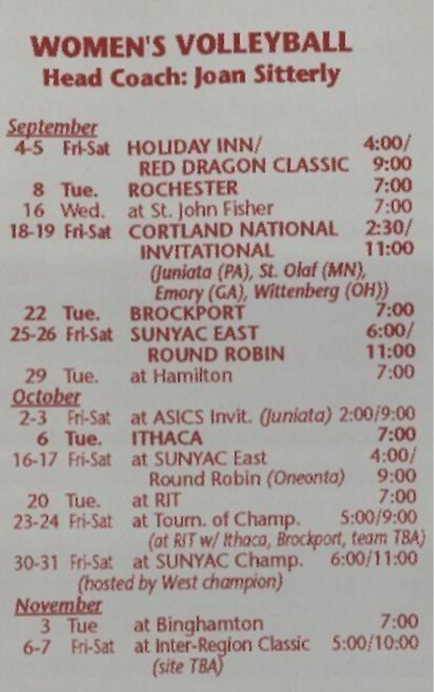#### WOMEN'S VOLLEYBALL Head Coach: Joan Sitterly

| <b>September</b> |                |                                         |            |
|------------------|----------------|-----------------------------------------|------------|
|                  | 4-5 Fri-Sat    | <b>HOLIDAY INN/</b>                     | 4:00/      |
|                  |                | <b>RED DRAGON CLASSIC</b>               | 9:00       |
| 8 Tue.           |                | <b>ROCHESTER</b>                        | 7:00       |
|                  | 16 Wed.        | at St. John Fisher                      | 7:00       |
|                  | 18-19 Fri-Sat  | <b>CORTLAND NATIONAL</b>                | 2:30/      |
|                  |                | <b>INVITATIONAL</b>                     | 11:00      |
|                  |                | (Juniata (PA), St. Olaf (MN),           |            |
|                  |                | Emory (GA), Wittenberg (OH))            |            |
|                  | 22 Tue.        | <b>BROCKPORT</b>                        | 7:00       |
|                  | 25-26 Fri-Sat  | <b>SUNYAC EAST</b>                      | 6:00/      |
|                  |                | <b>ROUND ROBIN</b>                      | 11:00      |
|                  | 29 Tue.        | at Hamilton                             | 7:00       |
| October          |                |                                         |            |
|                  | $2-3$ Fri-Sat  | at ASICS Invit. (Juniata) 2:00/9:00     |            |
|                  | 6 Tue.         | <b>ITHACA</b>                           | 7:00       |
|                  | 16-17 Fri-Sat  | at SUNYAC East                          | 4:00/      |
|                  |                | Round Robin (Oneonta)                   | 9:00       |
|                  | <b>20 Tue.</b> | at RIT                                  | 7:00       |
|                  | 23-24 Fri-Sat  | at Tourn. of Champ.                     | 5:00/9:00  |
|                  |                | (at RIT w/ Ithaca, Brockport, team TBA) |            |
|                  | 30-31 Fri-Sat  | at SUNYAC Champ.                        | 6:00/11:00 |
|                  |                | (hosted by West champion)               |            |
| November         |                |                                         |            |
|                  | 3 Tue          | at Binghamton                           | 7:00       |
|                  | $6-7$ Fri-Sat  | at Inter-Region Classic<br>(site TBA)   | 5:00/10:00 |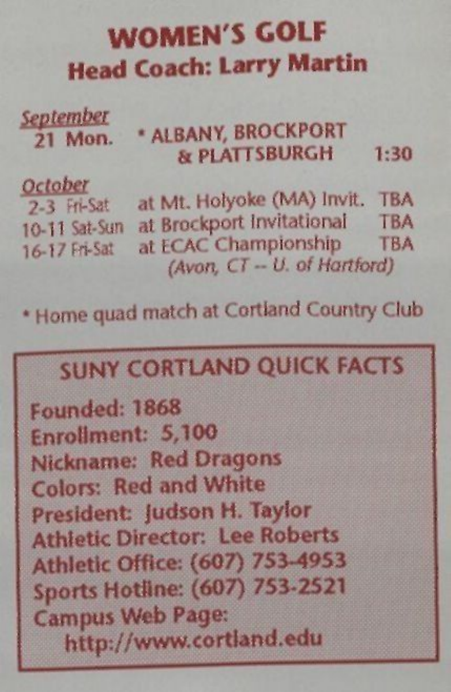#### **WOMEN'S GOLF Head Coach: Larry Martin**

Septem<br>21 N 21 Mon. \* ALBANY, BROCKPORT & PLATTSBURGH 1:30

October<br>
2-3 Fri-Sat at Mt. Holyoke (MA) Invit. TBA<br>
10.11 Set Sun at Brockport Invitational TBA 10-11 Sat-Sun at Brockport Invitational TBA<br>3.6.3.7.5% Sat at ECAC Championship TBA 16-17 Fri-Sat at ECAC Championship *(Avon, CT - U. of Hartford)* 

\* Home quad match at Cortland Country Club

#### SUNY CORTLAND QUICK FACTS

Founded: 1868 Enrollment: 5,100 Nickname: Red Dragons Colors: Red and White President: Judson H. Taylor Athletic Director: Lee Roberts Athletic Office: (607) 755-4953 Sports Hotline: (607) 753-2521 Campus Web Page: http://www.cortland.edu